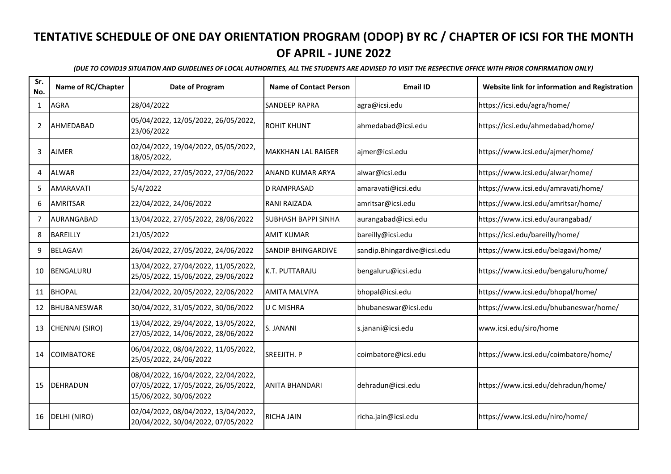| Sr.<br>No.     | Name of RC/Chapter | Date of Program                                                                                      | <b>Name of Contact Person</b> | <b>Email ID</b>             | Website link for information and Registration |
|----------------|--------------------|------------------------------------------------------------------------------------------------------|-------------------------------|-----------------------------|-----------------------------------------------|
| $\mathbf{1}$   | <b>AGRA</b>        | 28/04/2022                                                                                           | <b>SANDEEP RAPRA</b>          | agra@icsi.edu               | https://icsi.edu/agra/home/                   |
| $\overline{2}$ | AHMEDABAD          | 05/04/2022, 12/05/2022, 26/05/2022,<br>23/06/2022                                                    | <b>ROHIT KHUNT</b>            | ahmedabad@icsi.edu          | https://icsi.edu/ahmedabad/home/              |
| 3              | <b>AJMER</b>       | 02/04/2022, 19/04/2022, 05/05/2022,<br>18/05/2022,                                                   | <b>MAKKHAN LAL RAIGER</b>     | ajmer@icsi.edu              | https://www.icsi.edu/ajmer/home/              |
| 4              | <b>ALWAR</b>       | 22/04/2022, 27/05/2022, 27/06/2022                                                                   | <b>ANAND KUMAR ARYA</b>       | alwar@icsi.edu              | https://www.icsi.edu/alwar/home/              |
| 5              | <b>AMARAVATI</b>   | 5/4/2022                                                                                             | D RAMPRASAD                   | amaravati@icsi.edu          | https://www.icsi.edu/amravati/home/           |
| 6              | <b>AMRITSAR</b>    | 22/04/2022, 24/06/2022                                                                               | <b>RANI RAIZADA</b>           | amritsar@icsi.edu           | https://www.icsi.edu/amritsar/home/           |
| $\overline{7}$ | AURANGABAD         | 13/04/2022, 27/05/2022, 28/06/2022                                                                   | <b>SUBHASH BAPPI SINHA</b>    | aurangabad@icsi.edu         | https://www.icsi.edu/aurangabad/              |
| 8              | <b>BAREILLY</b>    | 21/05/2022                                                                                           | <b>AMIT KUMAR</b>             | bareilly@icsi.edu           | https://icsi.edu/bareilly/home/               |
| 9              | <b>BELAGAVI</b>    | 26/04/2022, 27/05/2022, 24/06/2022                                                                   | <b>SANDIP BHINGARDIVE</b>     | sandip.Bhingardive@icsi.edu | https://www.icsi.edu/belagavi/home/           |
| 10             | <b>BENGALURU</b>   | 13/04/2022, 27/04/2022, 11/05/2022,<br>25/05/2022, 15/06/2022, 29/06/2022                            | K.T. PUTTARAJU                | bengaluru@icsi.edu          | https://www.icsi.edu/bengaluru/home/          |
| 11             | <b>BHOPAL</b>      | 22/04/2022, 20/05/2022, 22/06/2022                                                                   | <b>AMITA MALVIYA</b>          | bhopal@icsi.edu             | https://www.icsi.edu/bhopal/home/             |
| 12             | <b>BHUBANESWAR</b> | 30/04/2022, 31/05/2022, 30/06/2022                                                                   | U C MISHRA                    | bhubaneswar@icsi.edu        | https://www.icsi.edu/bhubaneswar/home/        |
| 13             | CHENNAI (SIRO)     | 13/04/2022, 29/04/2022, 13/05/2022,<br>27/05/2022, 14/06/2022, 28/06/2022                            | S. JANANI                     | s.janani@icsi.edu           | www.icsi.edu/siro/home                        |
| 14             | <b>COIMBATORE</b>  | 06/04/2022, 08/04/2022, 11/05/2022,<br>25/05/2022, 24/06/2022                                        | SREEJITH. P                   | coimbatore@icsi.edu         | https://www.icsi.edu/coimbatore/home/         |
| 15             | DEHRADUN           | 08/04/2022, 16/04/2022, 22/04/2022,<br>07/05/2022, 17/05/2022, 26/05/2022,<br>15/06/2022, 30/06/2022 | <b>ANITA BHANDARI</b>         | dehradun@icsi.edu           | https://www.icsi.edu/dehradun/home/           |
| 16             | DELHI (NIRO)       | 02/04/2022, 08/04/2022, 13/04/2022,<br>20/04/2022, 30/04/2022, 07/05/2022                            | <b>RICHA JAIN</b>             | richa.jain@icsi.edu         | https://www.icsi.edu/niro/home/               |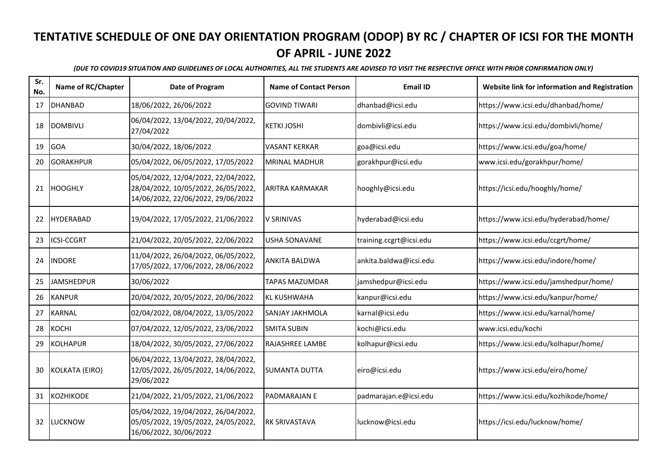| Sr.<br>No. | Name of RC/Chapter | Date of Program                                                                                                  | <b>Name of Contact Person</b> | <b>Email ID</b>         | Website link for information and Registration |
|------------|--------------------|------------------------------------------------------------------------------------------------------------------|-------------------------------|-------------------------|-----------------------------------------------|
| 17         | <b>DHANBAD</b>     | 18/06/2022, 26/06/2022                                                                                           | <b>GOVIND TIWARI</b>          | dhanbad@icsi.edu        | https://www.icsi.edu/dhanbad/home/            |
| 18         | <b>DOMBIVLI</b>    | 06/04/2022, 13/04/2022, 20/04/2022,<br>27/04/2022                                                                | <b>KETKI JOSHI</b>            | dombivli@icsi.edu       | https://www.icsi.edu/dombivli/home/           |
| 19         | <b>GOA</b>         | 30/04/2022, 18/06/2022                                                                                           | <b>VASANT KERKAR</b>          | goa@icsi.edu            | https://www.icsi.edu/goa/home/                |
| 20         | <b>GORAKHPUR</b>   | 05/04/2022, 06/05/2022, 17/05/2022                                                                               | <b>MRINAL MADHUR</b>          | gorakhpur@icsi.edu      | www.icsi.edu/gorakhpur/home/                  |
|            | 21 HOOGHLY         | 05/04/2022, 12/04/2022, 22/04/2022,<br>28/04/2022, 10/05/2022, 26/05/2022,<br>14/06/2022, 22/06/2022, 29/06/2022 | <b>ARITRA KARMAKAR</b>        | hooghly@icsi.edu        | https://icsi.edu/hooghly/home/                |
| 22         | HYDERABAD          | 19/04/2022, 17/05/2022, 21/06/2022                                                                               | V SRINIVAS                    | hyderabad@icsi.edu      | https://www.icsi.edu/hyderabad/home/          |
| 23         | <b>ICSI-CCGRT</b>  | 21/04/2022, 20/05/2022, 22/06/2022                                                                               | USHA SONAVANE                 | training.ccgrt@icsi.edu | https://www.icsi.edu/ccgrt/home/              |
| 24         | <b>INDORE</b>      | 11/04/2022, 26/04/2022, 06/05/2022,<br>17/05/2022, 17/06/2022, 28/06/2022                                        | <b>ANKITA BALDWA</b>          | ankita.baldwa@icsi.edu  | https://www.icsi.edu/indore/home/             |
| 25         | JAMSHEDPUR         | 30/06/2022                                                                                                       | <b>TAPAS MAZUMDAR</b>         | jamshedpur@icsi.edu     | https://www.icsi.edu/jamshedpur/home/         |
| 26         | <b>KANPUR</b>      | 20/04/2022, 20/05/2022, 20/06/2022                                                                               | <b>KL KUSHWAHA</b>            | kanpur@icsi.edu         | https://www.icsi.edu/kanpur/home/             |
| 27         | <b>KARNAL</b>      | 02/04/2022, 08/04/2022, 13/05/2022                                                                               | <b>SANJAY JAKHMOLA</b>        | karnal@icsi.edu         | https://www.icsi.edu/karnal/home/             |
| 28         | KOCHI              | 07/04/2022, 12/05/2022, 23/06/2022                                                                               | <b>SMITA SUBIN</b>            | kochi@icsi.edu          | www.icsi.edu/kochi                            |
| 29         | <b>KOLHAPUR</b>    | 18/04/2022, 30/05/2022, 27/06/2022                                                                               | <b>RAJASHREE LAMBE</b>        | kolhapur@icsi.edu       | https://www.icsi.edu/kolhapur/home/           |
| 30         | KOLKATA (EIRO)     | 06/04/2022, 13/04/2022, 28/04/2022,<br>12/05/2022, 26/05/2022, 14/06/2022,<br>29/06/2022                         | <b>SUMANTA DUTTA</b>          | eiro@icsi.edu           | https://www.icsi.edu/eiro/home/               |
| 31         | <b>KOZHIKODE</b>   | 21/04/2022, 21/05/2022, 21/06/2022                                                                               | <b>PADMARAJAN E</b>           | padmarajan.e@icsi.edu   | https://www.icsi.edu/kozhikode/home/          |
| 32         | LUCKNOW            | 05/04/2022, 19/04/2022, 26/04/2022,<br>05/05/2022, 19/05/2022, 24/05/2022,<br>16/06/2022, 30/06/2022             | <b>RK SRIVASTAVA</b>          | lucknow@icsi.edu        | https://icsi.edu/lucknow/home/                |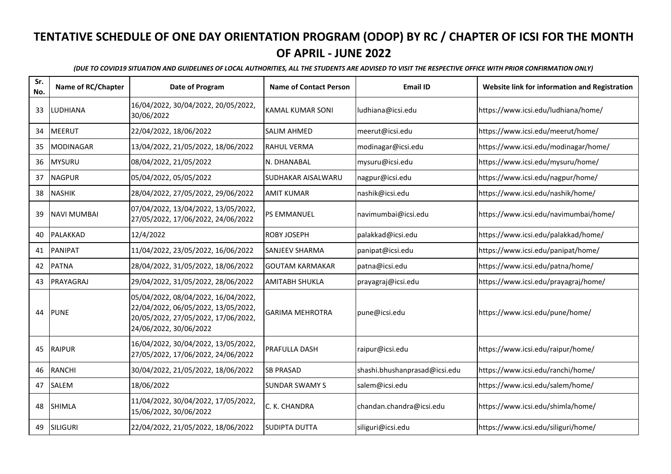| Sr.<br>No. | Name of RC/Chapter | Date of Program                                                                                                                             | <b>Name of Contact Person</b> | <b>Email ID</b>               | Website link for information and Registration |
|------------|--------------------|---------------------------------------------------------------------------------------------------------------------------------------------|-------------------------------|-------------------------------|-----------------------------------------------|
| 33         | LUDHIANA           | 16/04/2022, 30/04/2022, 20/05/2022,<br>30/06/2022                                                                                           | KAMAL KUMAR SONI              | ludhiana@icsi.edu             | https://www.icsi.edu/ludhiana/home/           |
| 34         | <b>MEERUT</b>      | 22/04/2022, 18/06/2022                                                                                                                      | <b>SALIM AHMED</b>            | meerut@icsi.edu               | https://www.icsi.edu/meerut/home/             |
| 35         | <b>MODINAGAR</b>   | 13/04/2022, 21/05/2022, 18/06/2022                                                                                                          | <b>RAHUL VERMA</b>            | modinagar@icsi.edu            | https://www.icsi.edu/modinagar/home/          |
| 36         | <b>MYSURU</b>      | 08/04/2022, 21/05/2022                                                                                                                      | N. DHANABAL                   | mysuru@icsi.edu               | https://www.icsi.edu/mysuru/home/             |
| 37         | <b>NAGPUR</b>      | 05/04/2022, 05/05/2022                                                                                                                      | SUDHAKAR AISALWARU            | nagpur@icsi.edu               | https://www.icsi.edu/nagpur/home/             |
| 38         | <b>NASHIK</b>      | 28/04/2022, 27/05/2022, 29/06/2022                                                                                                          | <b>AMIT KUMAR</b>             | nashik@icsi.edu               | https://www.icsi.edu/nashik/home/             |
| 39         | NAVI MUMBAI        | 07/04/2022, 13/04/2022, 13/05/2022,<br>27/05/2022, 17/06/2022, 24/06/2022                                                                   | <b>PS EMMANUEL</b>            | navimumbai@icsi.edu           | https://www.icsi.edu/navimumbai/home/         |
| 40         | <b>PALAKKAD</b>    | 12/4/2022                                                                                                                                   | <b>ROBY JOSEPH</b>            | palakkad@icsi.edu             | https://www.icsi.edu/palakkad/home/           |
| 41         | <b>PANIPAT</b>     | 11/04/2022, 23/05/2022, 16/06/2022                                                                                                          | <b>SANJEEV SHARMA</b>         | panipat@icsi.edu              | https://www.icsi.edu/panipat/home/            |
| 42         | <b>PATNA</b>       | 28/04/2022, 31/05/2022, 18/06/2022                                                                                                          | <b>GOUTAM KARMAKAR</b>        | patna@icsi.edu                | https://www.icsi.edu/patna/home/              |
| 43         | PRAYAGRAJ          | 29/04/2022, 31/05/2022, 28/06/2022                                                                                                          | <b>AMITABH SHUKLA</b>         | prayagraj@icsi.edu            | https://www.icsi.edu/prayagraj/home/          |
| 44         | <b>PUNE</b>        | 05/04/2022, 08/04/2022, 16/04/2022,<br>22/04/2022, 06/05/2022, 13/05/2022,<br>20/05/2022, 27/05/2022, 17/06/2022,<br>24/06/2022, 30/06/2022 | <b>GARIMA MEHROTRA</b>        | pune@icsi.edu                 | https://www.icsi.edu/pune/home/               |
| 45         | <b>RAIPUR</b>      | 16/04/2022, 30/04/2022, 13/05/2022,<br>27/05/2022, 17/06/2022, 24/06/2022                                                                   | <b>PRAFULLA DASH</b>          | raipur@icsi.edu               | https://www.icsi.edu/raipur/home/             |
| 46         | <b>RANCHI</b>      | 30/04/2022, 21/05/2022, 18/06/2022                                                                                                          | <b>SB PRASAD</b>              | shashi.bhushanprasad@icsi.edu | https://www.icsi.edu/ranchi/home/             |
| 47         | <b>SALEM</b>       | 18/06/2022                                                                                                                                  | <b>SUNDAR SWAMY S</b>         | salem@icsi.edu                | https://www.icsi.edu/salem/home/              |
| 48         | <b>SHIMLA</b>      | 11/04/2022, 30/04/2022, 17/05/2022,<br>15/06/2022, 30/06/2022                                                                               | C. K. CHANDRA                 | chandan.chandra@icsi.edu      | https://www.icsi.edu/shimla/home/             |
| 49         | SILIGURI           | 22/04/2022, 21/05/2022, 18/06/2022                                                                                                          | <b>SUDIPTA DUTTA</b>          | siliguri@icsi.edu             | https://www.icsi.edu/siliguri/home/           |